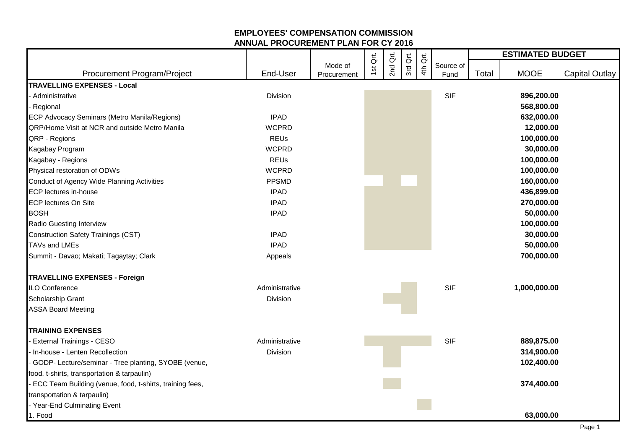|                                                          |                |                        |          |          |          |          |                   |       | <b>ESTIMATED BUDGET</b> |                       |
|----------------------------------------------------------|----------------|------------------------|----------|----------|----------|----------|-------------------|-------|-------------------------|-----------------------|
| Procurement Program/Project                              | End-User       | Mode of<br>Procurement | 1st Qrt. | 2nd Qrt. | 3rd Qrt. | 4th Qrt. | Source of<br>Fund | Total | <b>MOOE</b>             | <b>Capital Outlay</b> |
| <b>TRAVELLING EXPENSES - Local</b>                       |                |                        |          |          |          |          |                   |       |                         |                       |
| Administrative                                           | Division       |                        |          |          |          |          | <b>SIF</b>        |       | 896,200.00              |                       |
| Regional                                                 |                |                        |          |          |          |          |                   |       | 568,800.00              |                       |
| ECP Advocacy Seminars (Metro Manila/Regions)             | <b>IPAD</b>    |                        |          |          |          |          |                   |       | 632,000.00              |                       |
| QRP/Home Visit at NCR and outside Metro Manila           | <b>WCPRD</b>   |                        |          |          |          |          |                   |       | 12,000.00               |                       |
| QRP - Regions                                            | <b>REUs</b>    |                        |          |          |          |          |                   |       | 100,000.00              |                       |
| Kagabay Program                                          | <b>WCPRD</b>   |                        |          |          |          |          |                   |       | 30,000.00               |                       |
| Kagabay - Regions                                        | <b>REUs</b>    |                        |          |          |          |          |                   |       | 100,000.00              |                       |
| Physical restoration of ODWs                             | <b>WCPRD</b>   |                        |          |          |          |          |                   |       | 100,000.00              |                       |
| Conduct of Agency Wide Planning Activities               | <b>PPSMD</b>   |                        |          |          |          |          |                   |       | 160,000.00              |                       |
| <b>ECP lectures in-house</b>                             | <b>IPAD</b>    |                        |          |          |          |          |                   |       | 436,899.00              |                       |
| <b>ECP lectures On Site</b>                              | <b>IPAD</b>    |                        |          |          |          |          |                   |       | 270,000.00              |                       |
| <b>BOSH</b>                                              | <b>IPAD</b>    |                        |          |          |          |          |                   |       | 50,000.00               |                       |
| Radio Guesting Interview                                 |                |                        |          |          |          |          |                   |       | 100,000.00              |                       |
| <b>Construction Safety Trainings (CST)</b>               | <b>IPAD</b>    |                        |          |          |          |          |                   |       | 30,000.00               |                       |
| TAVs and LMEs                                            | <b>IPAD</b>    |                        |          |          |          |          |                   |       | 50,000.00               |                       |
| Summit - Davao; Makati; Tagaytay; Clark                  | Appeals        |                        |          |          |          |          |                   |       | 700,000.00              |                       |
| TRAVELLING EXPENSES - Foreign                            |                |                        |          |          |          |          |                   |       |                         |                       |
| <b>ILO Conference</b>                                    | Administrative |                        |          |          |          |          | <b>SIF</b>        |       | 1,000,000.00            |                       |
| Scholarship Grant                                        | Division       |                        |          |          |          |          |                   |       |                         |                       |
| <b>ASSA Board Meeting</b>                                |                |                        |          |          |          |          |                   |       |                         |                       |
| <b>TRAINING EXPENSES</b>                                 |                |                        |          |          |          |          |                   |       |                         |                       |
| <b>External Trainings - CESO</b>                         | Administrative |                        |          |          |          |          | <b>SIF</b>        |       | 889,875.00              |                       |
| - In-house - Lenten Recollection                         | Division       |                        |          |          |          |          |                   |       | 314,900.00              |                       |
| GODP- Lecture/seminar - Tree planting, SYOBE (venue,     |                |                        |          |          |          |          |                   |       | 102,400.00              |                       |
| food, t-shirts, transportation & tarpaulin)              |                |                        |          |          |          |          |                   |       |                         |                       |
| ECC Team Building (venue, food, t-shirts, training fees, |                |                        |          |          |          |          |                   |       | 374,400.00              |                       |
| transportation & tarpaulin)                              |                |                        |          |          |          |          |                   |       |                         |                       |
| Year-End Culminating Event                               |                |                        |          |          |          |          |                   |       |                         |                       |
| 1. Food                                                  |                |                        |          |          |          |          |                   |       | 63,000.00               |                       |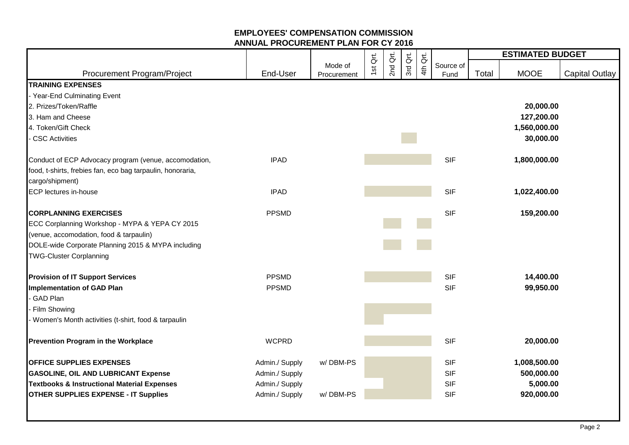|                                                            |                |                        | $\vec{\mathsf{o}}$ |          |          | $\vec{a}$ |                   |       | <b>ESTIMATED BUDGET</b> |                       |
|------------------------------------------------------------|----------------|------------------------|--------------------|----------|----------|-----------|-------------------|-------|-------------------------|-----------------------|
| Procurement Program/Project                                | End-User       | Mode of<br>Procurement | 15t                | 2nd Qrt. | 3rd Qrt. | 4th       | Source of<br>Fund | Total | <b>MOOE</b>             | <b>Capital Outlay</b> |
| <b>TRAINING EXPENSES</b>                                   |                |                        |                    |          |          |           |                   |       |                         |                       |
| Year-End Culminating Event                                 |                |                        |                    |          |          |           |                   |       |                         |                       |
| 2. Prizes/Token/Raffle                                     |                |                        |                    |          |          |           |                   |       | 20,000.00               |                       |
| 3. Ham and Cheese                                          |                |                        |                    |          |          |           |                   |       | 127,200.00              |                       |
| 4. Token/Gift Check                                        |                |                        |                    |          |          |           |                   |       | 1,560,000.00            |                       |
| <b>CSC Activities</b>                                      |                |                        |                    |          |          |           |                   |       | 30,000.00               |                       |
| Conduct of ECP Advocacy program (venue, accomodation,      | <b>IPAD</b>    |                        |                    |          |          |           | <b>SIF</b>        |       | 1,800,000.00            |                       |
| food, t-shirts, frebies fan, eco bag tarpaulin, honoraria, |                |                        |                    |          |          |           |                   |       |                         |                       |
| cargo/shipment)                                            |                |                        |                    |          |          |           |                   |       |                         |                       |
| <b>ECP lectures in-house</b>                               | <b>IPAD</b>    |                        |                    |          |          |           | <b>SIF</b>        |       | 1,022,400.00            |                       |
| <b>CORPLANNING EXERCISES</b>                               | <b>PPSMD</b>   |                        |                    |          |          |           | <b>SIF</b>        |       | 159,200.00              |                       |
| ECC Corplanning Workshop - MYPA & YEPA CY 2015             |                |                        |                    |          |          |           |                   |       |                         |                       |
| (venue, accomodation, food & tarpaulin)                    |                |                        |                    |          |          |           |                   |       |                         |                       |
| DOLE-wide Corporate Planning 2015 & MYPA including         |                |                        |                    |          |          |           |                   |       |                         |                       |
| <b>TWG-Cluster Corplanning</b>                             |                |                        |                    |          |          |           |                   |       |                         |                       |
| <b>Provision of IT Support Services</b>                    | <b>PPSMD</b>   |                        |                    |          |          |           | <b>SIF</b>        |       | 14,400.00               |                       |
| <b>Implementation of GAD Plan</b>                          | <b>PPSMD</b>   |                        |                    |          |          |           | <b>SIF</b>        |       | 99,950.00               |                       |
| <b>GAD Plan</b>                                            |                |                        |                    |          |          |           |                   |       |                         |                       |
| Film Showing                                               |                |                        |                    |          |          |           |                   |       |                         |                       |
| Women's Month activities (t-shirt, food & tarpaulin        |                |                        |                    |          |          |           |                   |       |                         |                       |
| Prevention Program in the Workplace                        | <b>WCPRD</b>   |                        |                    |          |          |           | <b>SIF</b>        |       | 20,000.00               |                       |
| <b>OFFICE SUPPLIES EXPENSES</b>                            | Admin./ Supply | w/DBM-PS               |                    |          |          |           | <b>SIF</b>        |       | 1,008,500.00            |                       |
| <b>GASOLINE, OIL AND LUBRICANT Expense</b>                 | Admin./ Supply |                        |                    |          |          |           | <b>SIF</b>        |       | 500,000.00              |                       |
| <b>Textbooks &amp; Instructional Material Expenses</b>     | Admin./ Supply |                        |                    |          |          |           | <b>SIF</b>        |       | 5,000.00                |                       |
| <b>OTHER SUPPLIES EXPENSE - IT Supplies</b>                | Admin./ Supply | w/DBM-PS               |                    |          |          |           | <b>SIF</b>        |       | 920,000.00              |                       |
|                                                            |                |                        |                    |          |          |           |                   |       |                         |                       |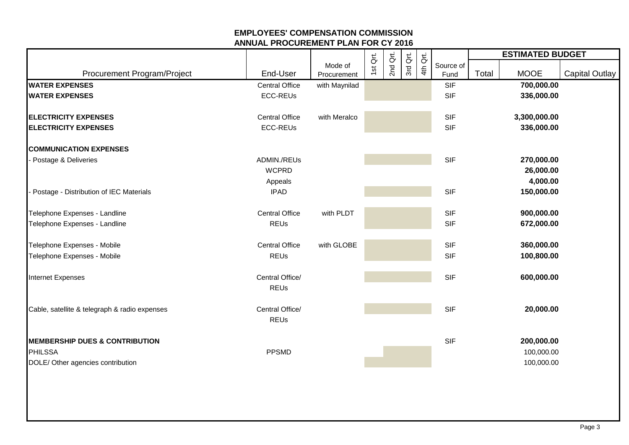|                                               |                                    |                        |          |          |          | $\vec{\rm d}$ |                   |       | <b>ESTIMATED BUDGET</b> |                       |
|-----------------------------------------------|------------------------------------|------------------------|----------|----------|----------|---------------|-------------------|-------|-------------------------|-----------------------|
| Procurement Program/Project                   | End-User                           | Mode of<br>Procurement | 1st Qrt. | 2nd Qrt. | 3rd Qrt. | 4th           | Source of<br>Fund | Total | <b>MOOE</b>             | <b>Capital Outlay</b> |
| <b>WATER EXPENSES</b>                         | <b>Central Office</b>              | with Maynilad          |          |          |          |               | <b>SIF</b>        |       | 700,000.00              |                       |
| <b>WATER EXPENSES</b>                         | <b>ECC-REUs</b>                    |                        |          |          |          |               | <b>SIF</b>        |       | 336,000.00              |                       |
| <b>ELECTRICITY EXPENSES</b>                   | <b>Central Office</b>              | with Meralco           |          |          |          |               | <b>SIF</b>        |       | 3,300,000.00            |                       |
| <b>ELECTRICITY EXPENSES</b>                   | <b>ECC-REUs</b>                    |                        |          |          |          |               | <b>SIF</b>        |       | 336,000.00              |                       |
| <b>COMMUNICATION EXPENSES</b>                 |                                    |                        |          |          |          |               |                   |       |                         |                       |
| - Postage & Deliveries                        | <b>ADMIN./REUs</b><br><b>WCPRD</b> |                        |          |          |          |               | <b>SIF</b>        |       | 270,000.00<br>26,000.00 |                       |
|                                               | Appeals                            |                        |          |          |          |               |                   |       | 4,000.00                |                       |
| Postage - Distribution of IEC Materials       | <b>IPAD</b>                        |                        |          |          |          |               | <b>SIF</b>        |       | 150,000.00              |                       |
| Telephone Expenses - Landline                 | <b>Central Office</b>              | with PLDT              |          |          |          |               | <b>SIF</b>        |       | 900,000.00              |                       |
| Telephone Expenses - Landline                 | <b>REUs</b>                        |                        |          |          |          |               | <b>SIF</b>        |       | 672,000.00              |                       |
| Telephone Expenses - Mobile                   | <b>Central Office</b>              | with GLOBE             |          |          |          |               | <b>SIF</b>        |       | 360,000.00              |                       |
| Telephone Expenses - Mobile                   | <b>REUs</b>                        |                        |          |          |          |               | <b>SIF</b>        |       | 100,800.00              |                       |
| Internet Expenses                             | Central Office/<br><b>REUs</b>     |                        |          |          |          |               | <b>SIF</b>        |       | 600,000.00              |                       |
| Cable, satellite & telegraph & radio expenses | Central Office/<br><b>REUs</b>     |                        |          |          |          |               | <b>SIF</b>        |       | 20,000.00               |                       |
| <b>IMEMBERSHIP DUES &amp; CONTRIBUTION</b>    |                                    |                        |          |          |          |               | <b>SIF</b>        |       | 200,000.00              |                       |
| <b>PHILSSA</b>                                | <b>PPSMD</b>                       |                        |          |          |          |               |                   |       | 100,000.00              |                       |
| DOLE/ Other agencies contribution             |                                    |                        |          |          |          |               |                   |       | 100,000.00              |                       |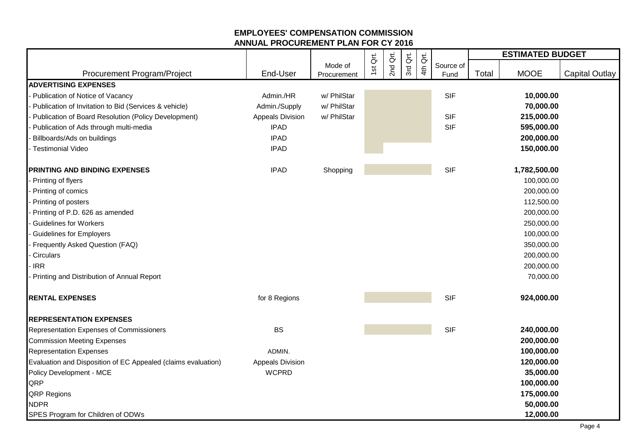|                                                               |                         |                        |          |          |          |          |                   |       | <b>ESTIMATED BUDGET</b> |                       |
|---------------------------------------------------------------|-------------------------|------------------------|----------|----------|----------|----------|-------------------|-------|-------------------------|-----------------------|
| Procurement Program/Project                                   | End-User                | Mode of<br>Procurement | 1st Qrt. | 2nd Qrt. | 3rd Qrt. | 4th Qrt. | Source of<br>Fund | Total | <b>MOOE</b>             | <b>Capital Outlay</b> |
| <b>ADVERTISING EXPENSES</b>                                   |                         |                        |          |          |          |          |                   |       |                         |                       |
| Publication of Notice of Vacancy                              | Admin./HR               | w/ PhilStar            |          |          |          |          | <b>SIF</b>        |       | 10,000.00               |                       |
| Publication of Invitation to Bid (Services & vehicle)         | Admin./Supply           | w/ PhilStar            |          |          |          |          |                   |       | 70,000.00               |                       |
| Publication of Board Resolution (Policy Development)          | Appeals Division        | w/ PhilStar            |          |          |          |          | <b>SIF</b>        |       | 215,000.00              |                       |
| Publication of Ads through multi-media                        | <b>IPAD</b>             |                        |          |          |          |          | <b>SIF</b>        |       | 595,000.00              |                       |
| Billboards/Ads on buildings                                   | <b>IPAD</b>             |                        |          |          |          |          |                   |       | 200,000.00              |                       |
| <b>Testimonial Video</b>                                      | <b>IPAD</b>             |                        |          |          |          |          |                   |       | 150,000.00              |                       |
| PRINTING AND BINDING EXPENSES                                 | <b>IPAD</b>             | Shopping               |          |          |          |          | <b>SIF</b>        |       | 1,782,500.00            |                       |
| Printing of flyers                                            |                         |                        |          |          |          |          |                   |       | 100,000.00              |                       |
| Printing of comics                                            |                         |                        |          |          |          |          |                   |       | 200,000.00              |                       |
| Printing of posters                                           |                         |                        |          |          |          |          |                   |       | 112,500.00              |                       |
| Printing of P.D. 626 as amended                               |                         |                        |          |          |          |          |                   |       | 200,000.00              |                       |
| <b>Guidelines for Workers</b>                                 |                         |                        |          |          |          |          |                   |       | 250,000.00              |                       |
| <b>Guidelines for Employers</b>                               |                         |                        |          |          |          |          |                   |       | 100,000.00              |                       |
| Frequently Asked Question (FAQ)                               |                         |                        |          |          |          |          |                   |       | 350,000.00              |                       |
| Circulars                                                     |                         |                        |          |          |          |          |                   |       | 200,000.00              |                       |
| <b>IRR</b>                                                    |                         |                        |          |          |          |          |                   |       | 200,000.00              |                       |
| Printing and Distribution of Annual Report                    |                         |                        |          |          |          |          |                   |       | 70,000.00               |                       |
| <b>RENTAL EXPENSES</b>                                        | for 8 Regions           |                        |          |          |          |          | <b>SIF</b>        |       | 924,000.00              |                       |
| <b>REPRESENTATION EXPENSES</b>                                |                         |                        |          |          |          |          |                   |       |                         |                       |
| Representation Expenses of Commissioners                      | <b>BS</b>               |                        |          |          |          |          | <b>SIF</b>        |       | 240,000.00              |                       |
| <b>Commission Meeting Expenses</b>                            |                         |                        |          |          |          |          |                   |       | 200,000.00              |                       |
| <b>Representation Expenses</b>                                | ADMIN.                  |                        |          |          |          |          |                   |       | 100,000.00              |                       |
| Evaluation and Disposition of EC Appealed (claims evaluation) | <b>Appeals Division</b> |                        |          |          |          |          |                   |       | 120,000.00              |                       |
| Policy Development - MCE                                      | <b>WCPRD</b>            |                        |          |          |          |          |                   |       | 35,000.00               |                       |
| QRP                                                           |                         |                        |          |          |          |          |                   |       | 100,000.00              |                       |
| <b>QRP Regions</b>                                            |                         |                        |          |          |          |          |                   |       | 175,000.00              |                       |
| <b>NDPR</b>                                                   |                         |                        |          |          |          |          |                   |       | 50,000.00               |                       |
| SPES Program for Children of ODWs                             |                         |                        |          |          |          |          |                   |       | 12,000.00               |                       |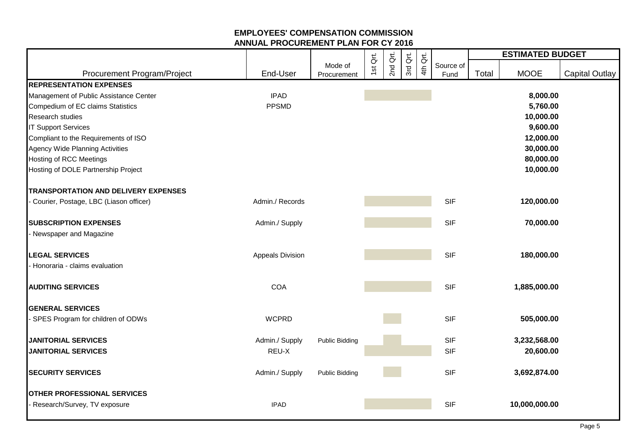|                                             |                         |                        |          |          |          | $\breve{\vec{\sigma}}$ |                   |       | <b>ESTIMATED BUDGET</b> |                       |
|---------------------------------------------|-------------------------|------------------------|----------|----------|----------|------------------------|-------------------|-------|-------------------------|-----------------------|
| Procurement Program/Project                 | End-User                | Mode of<br>Procurement | 1st Qrt. | 2nd Qrt. | 3rd Qrt. | 4th                    | Source of<br>Fund | Total | <b>MOOE</b>             | <b>Capital Outlay</b> |
| <b>REPRESENTATION EXPENSES</b>              |                         |                        |          |          |          |                        |                   |       |                         |                       |
| Management of Public Assistance Center      | <b>IPAD</b>             |                        |          |          |          |                        |                   |       | 8,000.00                |                       |
| Compedium of EC claims Statistics           | <b>PPSMD</b>            |                        |          |          |          |                        |                   |       | 5,760.00                |                       |
| <b>Research studies</b>                     |                         |                        |          |          |          |                        |                   |       | 10,000.00               |                       |
| <b>IT Support Services</b>                  |                         |                        |          |          |          |                        |                   |       | 9,600.00                |                       |
| Compliant to the Requirements of ISO        |                         |                        |          |          |          |                        |                   |       | 12,000.00               |                       |
| <b>Agency Wide Planning Activities</b>      |                         |                        |          |          |          |                        |                   |       | 30,000.00               |                       |
| <b>Hosting of RCC Meetings</b>              |                         |                        |          |          |          |                        |                   |       | 80,000.00               |                       |
| Hosting of DOLE Partnership Project         |                         |                        |          |          |          |                        |                   |       | 10,000.00               |                       |
| <b>TRANSPORTATION AND DELIVERY EXPENSES</b> |                         |                        |          |          |          |                        |                   |       |                         |                       |
| Courier, Postage, LBC (Liason officer)      | Admin./ Records         |                        |          |          |          |                        | <b>SIF</b>        |       | 120,000.00              |                       |
| <b>SUBSCRIPTION EXPENSES</b>                | Admin./ Supply          |                        |          |          |          |                        | <b>SIF</b>        |       | 70,000.00               |                       |
| Newspaper and Magazine                      |                         |                        |          |          |          |                        |                   |       |                         |                       |
| <b>LEGAL SERVICES</b>                       | <b>Appeals Division</b> |                        |          |          |          |                        | <b>SIF</b>        |       | 180,000.00              |                       |
| Honoraria - claims evaluation               |                         |                        |          |          |          |                        |                   |       |                         |                       |
| <b>AUDITING SERVICES</b>                    | <b>COA</b>              |                        |          |          |          |                        | <b>SIF</b>        |       | 1,885,000.00            |                       |
| <b>GENERAL SERVICES</b>                     |                         |                        |          |          |          |                        |                   |       |                         |                       |
| SPES Program for children of ODWs           | <b>WCPRD</b>            |                        |          |          |          |                        | <b>SIF</b>        |       | 505,000.00              |                       |
| <b>JANITORIAL SERVICES</b>                  | Admin./ Supply          | <b>Public Bidding</b>  |          |          |          |                        | <b>SIF</b>        |       | 3,232,568.00            |                       |
| <b>JANITORIAL SERVICES</b>                  | REU-X                   |                        |          |          |          |                        | <b>SIF</b>        |       | 20,600.00               |                       |
| <b>SECURITY SERVICES</b>                    | Admin./ Supply          | <b>Public Bidding</b>  |          |          |          |                        | <b>SIF</b>        |       | 3,692,874.00            |                       |
| <b>OTHER PROFESSIONAL SERVICES</b>          |                         |                        |          |          |          |                        |                   |       |                         |                       |
| Research/Survey, TV exposure                | <b>IPAD</b>             |                        |          |          |          |                        | <b>SIF</b>        |       | 10,000,000.00           |                       |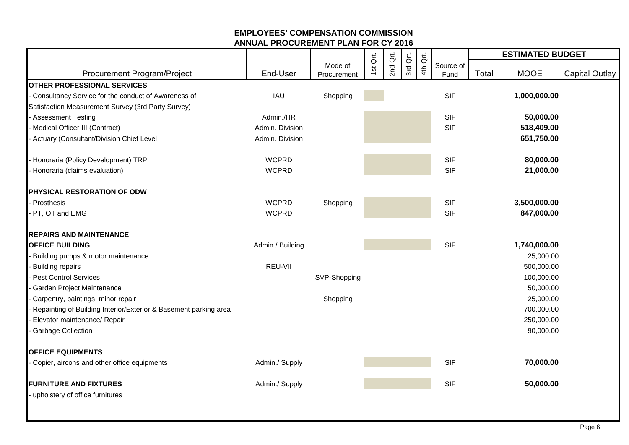|                                                                  |                  |                        |          |          |          |          |                   |       | <b>ESTIMATED BUDGET</b> |                       |
|------------------------------------------------------------------|------------------|------------------------|----------|----------|----------|----------|-------------------|-------|-------------------------|-----------------------|
| Procurement Program/Project                                      | End-User         | Mode of<br>Procurement | 1st Qrt. | 2nd Qrt. | 3rd Qrt. | 4th Qrt. | Source of<br>Fund | Total | <b>MOOE</b>             | <b>Capital Outlay</b> |
| OTHER PROFESSIONAL SERVICES                                      |                  |                        |          |          |          |          |                   |       |                         |                       |
| Consultancy Service for the conduct of Awareness of              | IAU              | Shopping               |          |          |          |          | <b>SIF</b>        |       | 1,000,000.00            |                       |
| Satisfaction Measurement Survey (3rd Party Survey)               |                  |                        |          |          |          |          |                   |       |                         |                       |
| <b>Assessment Testing</b>                                        | Admin./HR        |                        |          |          |          |          | <b>SIF</b>        |       | 50,000.00               |                       |
| Medical Officer III (Contract)                                   | Admin. Division  |                        |          |          |          |          | <b>SIF</b>        |       | 518,409.00              |                       |
| Actuary (Consultant/Division Chief Level                         | Admin. Division  |                        |          |          |          |          |                   |       | 651,750.00              |                       |
| Honoraria (Policy Development) TRP                               | <b>WCPRD</b>     |                        |          |          |          |          | <b>SIF</b>        |       | 80,000.00               |                       |
| Honoraria (claims evaluation)                                    | <b>WCPRD</b>     |                        |          |          |          |          | <b>SIF</b>        |       | 21,000.00               |                       |
| PHYSICAL RESTORATION OF ODW                                      |                  |                        |          |          |          |          |                   |       |                         |                       |
| Prosthesis                                                       | <b>WCPRD</b>     | Shopping               |          |          |          |          | <b>SIF</b>        |       | 3,500,000.00            |                       |
| PT, OT and EMG                                                   | <b>WCPRD</b>     |                        |          |          |          |          | <b>SIF</b>        |       | 847,000.00              |                       |
| <b>REPAIRS AND MAINTENANCE</b>                                   |                  |                        |          |          |          |          |                   |       |                         |                       |
| <b>OFFICE BUILDING</b>                                           | Admin./ Building |                        |          |          |          |          | <b>SIF</b>        |       | 1,740,000.00            |                       |
| Building pumps & motor maintenance                               |                  |                        |          |          |          |          |                   |       | 25,000.00               |                       |
| <b>Building repairs</b>                                          | REU-VII          |                        |          |          |          |          |                   |       | 500,000.00              |                       |
| <b>Pest Control Services</b>                                     |                  | SVP-Shopping           |          |          |          |          |                   |       | 100,000.00              |                       |
| Garden Project Maintenance                                       |                  |                        |          |          |          |          |                   |       | 50,000.00               |                       |
| Carpentry, paintings, minor repair                               |                  | Shopping               |          |          |          |          |                   |       | 25,000.00               |                       |
| Repainting of Building Interior/Exterior & Basement parking area |                  |                        |          |          |          |          |                   |       | 700,000.00              |                       |
| Elevator maintenance/ Repair                                     |                  |                        |          |          |          |          |                   |       | 250,000.00              |                       |
| <b>Garbage Collection</b>                                        |                  |                        |          |          |          |          |                   |       | 90,000.00               |                       |
| <b>OFFICE EQUIPMENTS</b>                                         |                  |                        |          |          |          |          |                   |       |                         |                       |
| Copier, aircons and other office equipments                      | Admin./ Supply   |                        |          |          |          |          | <b>SIF</b>        |       | 70,000.00               |                       |
| <b>FURNITURE AND FIXTURES</b>                                    | Admin./ Supply   |                        |          |          |          |          | <b>SIF</b>        |       | 50,000.00               |                       |
| - upholstery of office furnitures                                |                  |                        |          |          |          |          |                   |       |                         |                       |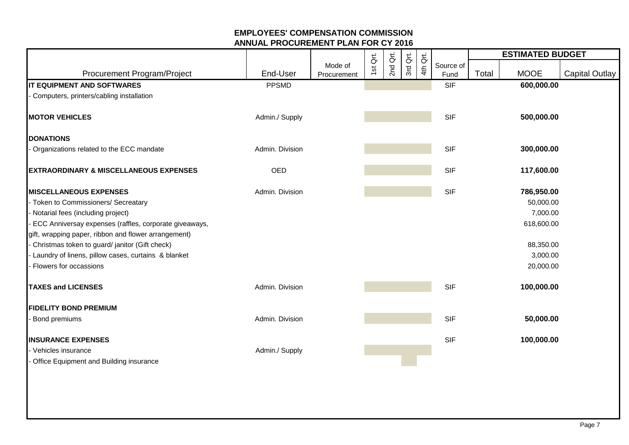|                                                        |                 |                        |          |          |          |          |                   |       | <b>ESTIMATED BUDGET</b> |                       |
|--------------------------------------------------------|-----------------|------------------------|----------|----------|----------|----------|-------------------|-------|-------------------------|-----------------------|
| Procurement Program/Project                            | End-User        | Mode of<br>Procurement | 1st Qrt. | 2nd Qrt. | 3rd Qrt. | 4th Qrt. | Source of<br>Fund | Total | <b>MOOE</b>             | <b>Capital Outlay</b> |
| <b>IT EQUIPMENT AND SOFTWARES</b>                      | <b>PPSMD</b>    |                        |          |          |          |          | <b>SIF</b>        |       | 600,000.00              |                       |
| Computers, printers/cabling installation               |                 |                        |          |          |          |          |                   |       |                         |                       |
| <b>MOTOR VEHICLES</b>                                  | Admin./ Supply  |                        |          |          |          |          | <b>SIF</b>        |       | 500,000.00              |                       |
| <b>DONATIONS</b>                                       |                 |                        |          |          |          |          |                   |       |                         |                       |
| Organizations related to the ECC mandate               | Admin. Division |                        |          |          |          |          | <b>SIF</b>        |       | 300,000.00              |                       |
| <b>EXTRAORDINARY &amp; MISCELLANEOUS EXPENSES</b>      | <b>OED</b>      |                        |          |          |          |          | <b>SIF</b>        |       | 117,600.00              |                       |
| <b>MISCELLANEOUS EXPENSES</b>                          | Admin. Division |                        |          |          |          |          | <b>SIF</b>        |       | 786,950.00              |                       |
| Token to Commissioners/ Secreatary                     |                 |                        |          |          |          |          |                   |       | 50,000.00               |                       |
| Notarial fees (including project)                      |                 |                        |          |          |          |          |                   |       | 7,000.00                |                       |
| ECC Anniversay expenses (raffles, corporate giveaways, |                 |                        |          |          |          |          |                   |       | 618,600.00              |                       |
| gift, wrapping paper, ribbon and flower arrangement)   |                 |                        |          |          |          |          |                   |       |                         |                       |
| Christmas token to guard/janitor (Gift check)          |                 |                        |          |          |          |          |                   |       | 88,350.00               |                       |
| Laundry of linens, pillow cases, curtains & blanket    |                 |                        |          |          |          |          |                   |       | 3,000.00                |                       |
| Flowers for occassions                                 |                 |                        |          |          |          |          |                   |       | 20,000.00               |                       |
| <b>TAXES and LICENSES</b>                              | Admin. Division |                        |          |          |          |          | <b>SIF</b>        |       | 100,000.00              |                       |
| <b>FIDELITY BOND PREMIUM</b>                           |                 |                        |          |          |          |          |                   |       |                         |                       |
| Bond premiums                                          | Admin. Division |                        |          |          |          |          | <b>SIF</b>        |       | 50,000.00               |                       |
| <b>INSURANCE EXPENSES</b>                              |                 |                        |          |          |          |          | <b>SIF</b>        |       | 100,000.00              |                       |
| Vehicles insurance                                     | Admin./ Supply  |                        |          |          |          |          |                   |       |                         |                       |
| Office Equipment and Building insurance                |                 |                        |          |          |          |          |                   |       |                         |                       |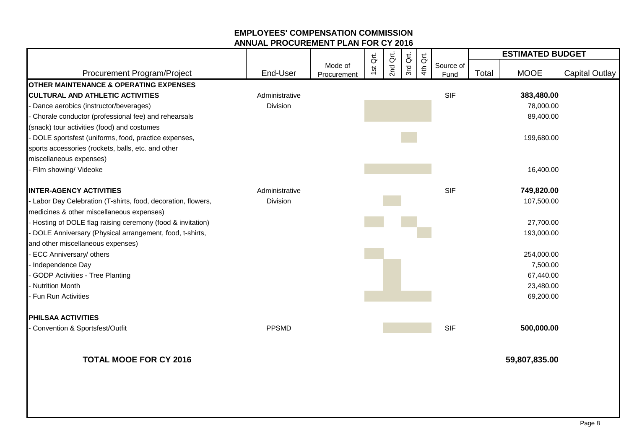|                                                             |                |                        |          |          |          |          |                   |       | <b>ESTIMATED BUDGET</b> |                |
|-------------------------------------------------------------|----------------|------------------------|----------|----------|----------|----------|-------------------|-------|-------------------------|----------------|
| Procurement Program/Project                                 | End-User       | Mode of<br>Procurement | 1st Qrt. | 2nd Qrt. | 3rd Qrt. | 4th Qrt. | Source of<br>Fund | Total | <b>MOOE</b>             | Capital Outlay |
| <b>OTHER MAINTENANCE &amp; OPERATING EXPENSES</b>           |                |                        |          |          |          |          |                   |       |                         |                |
| <b>CULTURAL AND ATHLETIC ACTIVITIES</b>                     | Administrative |                        |          |          |          |          | <b>SIF</b>        |       | 383,480.00              |                |
| - Dance aerobics (instructor/beverages)                     | Division       |                        |          |          |          |          |                   |       | 78,000.00               |                |
| Chorale conductor (professional fee) and rehearsals         |                |                        |          |          |          |          |                   |       | 89,400.00               |                |
| (snack) tour activities (food) and costumes                 |                |                        |          |          |          |          |                   |       |                         |                |
| - DOLE sportsfest (uniforms, food, practice expenses,       |                |                        |          |          |          |          |                   |       | 199,680.00              |                |
| sports accessories (rockets, balls, etc. and other          |                |                        |          |          |          |          |                   |       |                         |                |
| miscellaneous expenses)                                     |                |                        |          |          |          |          |                   |       |                         |                |
| - Film showing/ Videoke                                     |                |                        |          |          |          |          |                   |       | 16,400.00               |                |
| <b>IINTER-AGENCY ACTIVITIES</b>                             | Administrative |                        |          |          |          |          | <b>SIF</b>        |       | 749,820.00              |                |
| Labor Day Celebration (T-shirts, food, decoration, flowers, | Division       |                        |          |          |          |          |                   |       | 107,500.00              |                |
| medicines & other miscellaneous expenses)                   |                |                        |          |          |          |          |                   |       |                         |                |
| - Hosting of DOLE flag raising ceremony (food & invitation) |                |                        |          |          |          |          |                   |       | 27,700.00               |                |
| DOLE Anniversary (Physical arrangement, food, t-shirts,     |                |                        |          |          |          |          |                   |       | 193,000.00              |                |
| and other miscellaneous expenses)                           |                |                        |          |          |          |          |                   |       |                         |                |
| - ECC Anniversary/ others                                   |                |                        |          |          |          |          |                   |       | 254,000.00              |                |
| Independence Day                                            |                |                        |          |          |          |          |                   |       | 7,500.00                |                |
| GODP Activities - Tree Planting                             |                |                        |          |          |          |          |                   |       | 67,440.00               |                |
| Nutrition Month                                             |                |                        |          |          |          |          |                   |       | 23,480.00               |                |
| Fun Run Activities                                          |                |                        |          |          |          |          |                   |       | 69,200.00               |                |
| <b>PHILSAA ACTIVITIES</b>                                   |                |                        |          |          |          |          |                   |       |                         |                |
| Convention & Sportsfest/Outfit                              | <b>PPSMD</b>   |                        |          |          |          |          | <b>SIF</b>        |       | 500,000.00              |                |
| <b>TOTAL MOOE FOR CY 2016</b>                               |                |                        |          |          |          |          |                   |       | 59,807,835.00           |                |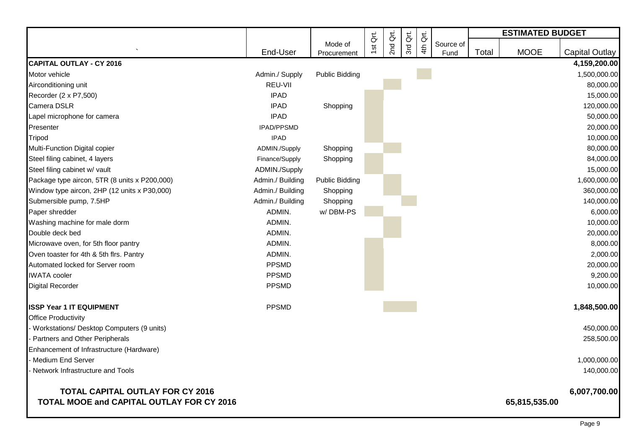|                                                                                             |                   |                       |          | đť.             |          | đ.  |           |       | <b>ESTIMATED BUDGET</b> |                       |
|---------------------------------------------------------------------------------------------|-------------------|-----------------------|----------|-----------------|----------|-----|-----------|-------|-------------------------|-----------------------|
|                                                                                             |                   | Mode of               | 1st Qrt. | 2 <sub>nd</sub> | 3rd Qrt. | 4th | Source of |       |                         |                       |
|                                                                                             | End-User          | Procurement           |          |                 |          |     | Fund      | Total | <b>MOOE</b>             | <b>Capital Outlay</b> |
| <b>CAPITAL OUTLAY - CY 2016</b>                                                             |                   |                       |          |                 |          |     |           |       |                         | 4,159,200.00          |
| Motor vehicle                                                                               | Admin./ Supply    | <b>Public Bidding</b> |          |                 |          |     |           |       |                         | 1,500,000.00          |
| Airconditioning unit                                                                        | REU-VII           |                       |          |                 |          |     |           |       |                         | 80,000.00             |
| Recorder (2 x P7,500)                                                                       | <b>IPAD</b>       |                       |          |                 |          |     |           |       |                         | 15,000.00             |
| Camera DSLR                                                                                 | <b>IPAD</b>       | Shopping              |          |                 |          |     |           |       |                         | 120,000.00            |
| Lapel microphone for camera                                                                 | <b>IPAD</b>       |                       |          |                 |          |     |           |       |                         | 50,000.00             |
| Presenter                                                                                   | <b>IPAD/PPSMD</b> |                       |          |                 |          |     |           |       |                         | 20,000.00             |
| Tripod                                                                                      | <b>IPAD</b>       |                       |          |                 |          |     |           |       |                         | 10,000.00             |
| Multi-Function Digital copier                                                               | ADMIN./Supply     | Shopping              |          |                 |          |     |           |       |                         | 80,000.00             |
| Steel filing cabinet, 4 layers                                                              | Finance/Supply    | Shopping              |          |                 |          |     |           |       |                         | 84,000.00             |
| Steel filing cabinet w/ vault                                                               | ADMIN./Supply     |                       |          |                 |          |     |           |       |                         | 15,000.00             |
| Package type aircon, 5TR (8 units x P200,000)                                               | Admin./ Building  | <b>Public Bidding</b> |          |                 |          |     |           |       |                         | 1,600,000.00          |
| Window type aircon, 2HP (12 units x P30,000)                                                | Admin./ Building  | Shopping              |          |                 |          |     |           |       |                         | 360,000.00            |
| Submersible pump, 7.5HP                                                                     | Admin./ Building  | Shopping              |          |                 |          |     |           |       |                         | 140,000.00            |
| Paper shredder                                                                              | ADMIN.            | w/DBM-PS              |          |                 |          |     |           |       |                         | 6,000.00              |
| Washing machine for male dorm                                                               | ADMIN.            |                       |          |                 |          |     |           |       |                         | 10,000.00             |
| Double deck bed                                                                             | ADMIN.            |                       |          |                 |          |     |           |       |                         | 20,000.00             |
| Microwave oven, for 5th floor pantry                                                        | ADMIN.            |                       |          |                 |          |     |           |       |                         | 8,000.00              |
| Oven toaster for 4th & 5th firs. Pantry                                                     | ADMIN.            |                       |          |                 |          |     |           |       |                         | 2,000.00              |
| Automated locked for Server room                                                            | <b>PPSMD</b>      |                       |          |                 |          |     |           |       |                         | 20,000.00             |
| <b>IWATA</b> cooler                                                                         | <b>PPSMD</b>      |                       |          |                 |          |     |           |       |                         | 9,200.00              |
| <b>Digital Recorder</b>                                                                     | <b>PPSMD</b>      |                       |          |                 |          |     |           |       |                         | 10,000.00             |
| <b>ISSP Year 1 IT EQUIPMENT</b>                                                             | <b>PPSMD</b>      |                       |          |                 |          |     |           |       |                         | 1,848,500.00          |
| <b>Office Productivity</b>                                                                  |                   |                       |          |                 |          |     |           |       |                         |                       |
| Workstations/ Desktop Computers (9 units)                                                   |                   |                       |          |                 |          |     |           |       |                         | 450,000.00            |
| Partners and Other Peripherals                                                              |                   |                       |          |                 |          |     |           |       |                         | 258,500.00            |
| Enhancement of Infrastructure (Hardware)                                                    |                   |                       |          |                 |          |     |           |       |                         |                       |
| Medium End Server                                                                           |                   |                       |          |                 |          |     |           |       |                         | 1,000,000.00          |
| Network Infrastructure and Tools                                                            |                   |                       |          |                 |          |     |           |       |                         | 140,000.00            |
| <b>TOTAL CAPITAL OUTLAY FOR CY 2016</b><br><b>TOTAL MOOE and CAPITAL OUTLAY FOR CY 2016</b> |                   |                       |          |                 |          |     |           |       | 65,815,535.00           | 6,007,700.00          |

 $\mathcal{L}$